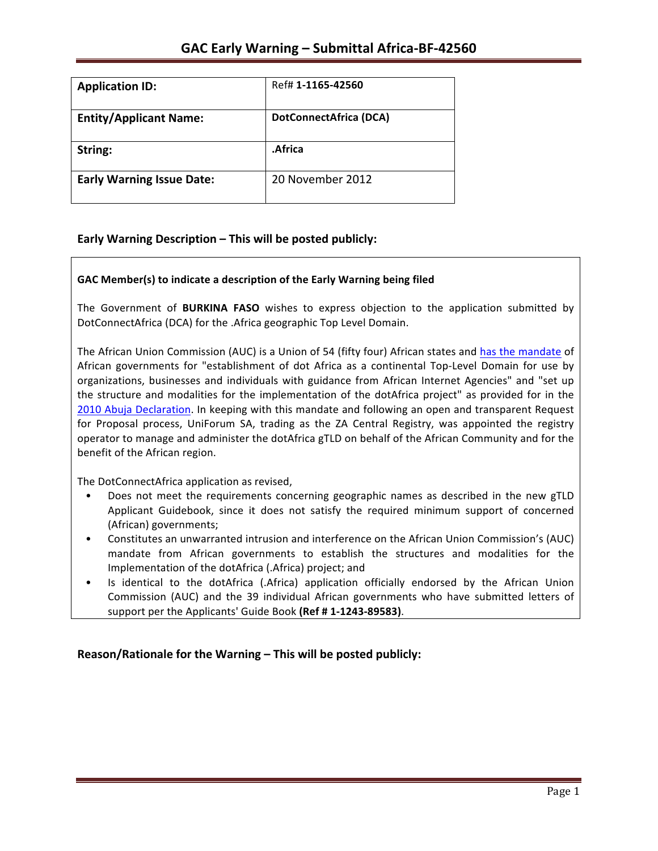| <b>Application ID:</b>           | Ref# 1-1165-42560             |
|----------------------------------|-------------------------------|
| <b>Entity/Applicant Name:</b>    | <b>DotConnectAfrica (DCA)</b> |
| String:                          | .Africa                       |
| <b>Early Warning Issue Date:</b> | 20 November 2012              |

## **Early Warning Description – This will be posted publicly:**

### GAC Member(s) to indicate a description of the Early Warning being filed

The Government of **BURKINA FASO** wishes to express objection to the application submitted by DotConnectAfrica (DCA) for the .Africa geographic Top Level Domain.

The African Union Commission (AUC) is a Union of 54 (fifty four) African states and has the mandate of African governments for "establishment of dot Africa as a continental Top-Level Domain for use by organizations, businesses and individuals with guidance from African Internet Agencies" and "set up the structure and modalities for the implementation of the dotAfrica project" as provided for in the 2010 Abuja Declaration. In keeping with this mandate and following an open and transparent Request for Proposal process, UniForum SA, trading as the ZA Central Registry, was appointed the registry operator to manage and administer the dotAfrica gTLD on behalf of the African Community and for the benefit of the African region.

The DotConnectAfrica application as revised,

- Does not meet the requirements concerning geographic names as described in the new gTLD Applicant Guidebook, since it does not satisfy the required minimum support of concerned (African) governments;
- Constitutes an unwarranted intrusion and interference on the African Union Commission's (AUC) mandate from African governments to establish the structures and modalities for the Implementation of the dotAfrica (.Africa) project; and
- Is identical to the dotAfrica (.Africa) application officially endorsed by the African Union Commission (AUC) and the 39 individual African governments who have submitted letters of support per the Applicants' Guide Book (Ref # 1-1243-89583).

**Reason/Rationale for the Warning – This will be posted publicly:**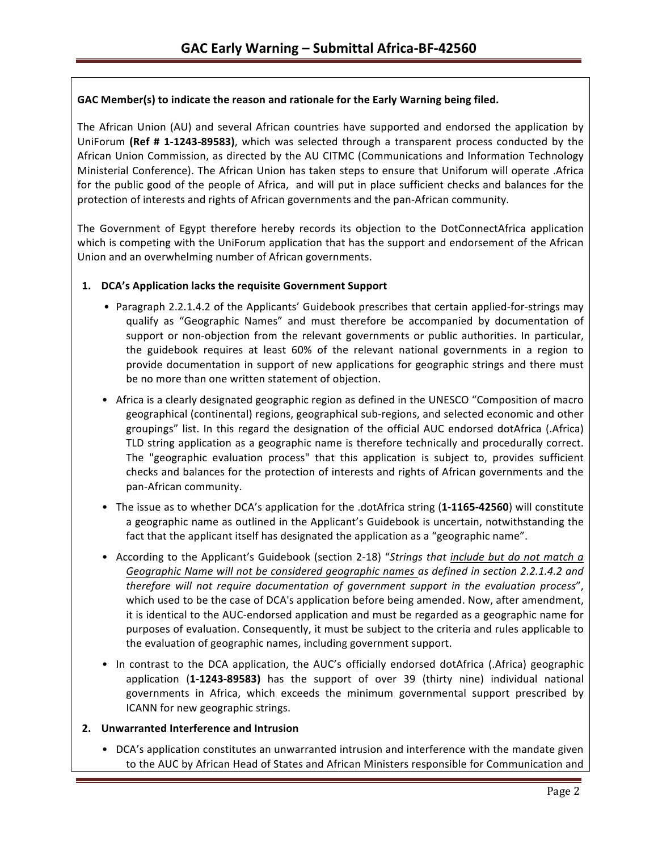### GAC Member(s) to indicate the reason and rationale for the Early Warning being filed.

The African Union (AU) and several African countries have supported and endorsed the application by UniForum (Ref # 1-1243-89583), which was selected through a transparent process conducted by the African Union Commission, as directed by the AU CITMC (Communications and Information Technology Ministerial Conference). The African Union has taken steps to ensure that Uniforum will operate .Africa for the public good of the people of Africa, and will put in place sufficient checks and balances for the protection of interests and rights of African governments and the pan-African community.

The Government of Egypt therefore hereby records its objection to the DotConnectAfrica application which is competing with the UniForum application that has the support and endorsement of the African Union and an overwhelming number of African governments.

### 1. **DCA's Application lacks the requisite Government Support**

- Paragraph 2.2.1.4.2 of the Applicants' Guidebook prescribes that certain applied-for-strings may qualify as "Geographic Names" and must therefore be accompanied by documentation of support or non-objection from the relevant governments or public authorities. In particular, the guidebook requires at least 60% of the relevant national governments in a region to provide documentation in support of new applications for geographic strings and there must be no more than one written statement of objection.
- Africa is a clearly designated geographic region as defined in the UNESCO "Composition of macro geographical (continental) regions, geographical sub-regions, and selected economic and other groupings" list. In this regard the designation of the official AUC endorsed dotAfrica (.Africa) TLD string application as a geographic name is therefore technically and procedurally correct. The "geographic evaluation process" that this application is subject to, provides sufficient checks and balances for the protection of interests and rights of African governments and the pan-African community.
- The issue as to whether DCA's application for the .dotAfrica string (1-1165-42560) will constitute a geographic name as outlined in the Applicant's Guidebook is uncertain, notwithstanding the fact that the applicant itself has designated the application as a "geographic name".
- According to the Applicant's Guidebook (section 2-18) "Strings that include but do not match a Geographic Name will not be considered geographic names as defined in section 2.2.1.4.2 and *therefore will not require documentation of government support in the evaluation process"*, which used to be the case of DCA's application before being amended. Now, after amendment, it is identical to the AUC-endorsed application and must be regarded as a geographic name for purposes of evaluation. Consequently, it must be subject to the criteria and rules applicable to the evaluation of geographic names, including government support.
- In contrast to the DCA application, the AUC's officially endorsed dotAfrica (.Africa) geographic application (1-1243-89583) has the support of over 39 (thirty nine) individual national governments in Africa, which exceeds the minimum governmental support prescribed by ICANN for new geographic strings.

### **2. Unwarranted Interference and Intrusion**

• DCA's application constitutes an unwarranted intrusion and interference with the mandate given to the AUC by African Head of States and African Ministers responsible for Communication and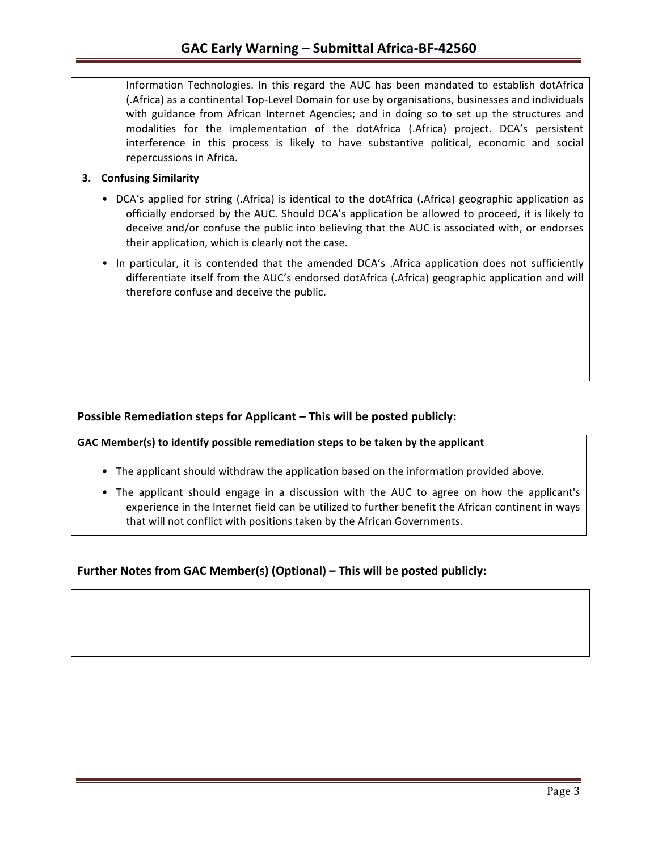Information Technologies. In this regard the AUC has been mandated to establish dotAfrica (.Africa) as a continental Top-Level Domain for use by organisations, businesses and individuals with guidance from African Internet Agencies; and in doing so to set up the structures and modalities for the implementation of the dotAfrica (.Africa) project. DCA's persistent interference in this process is likely to have substantive political, economic and social repercussions in Africa.

### **3.** Confusing Similarity

- DCA's applied for string (.Africa) is identical to the dotAfrica (.Africa) geographic application as officially endorsed by the AUC. Should DCA's application be allowed to proceed, it is likely to deceive and/or confuse the public into believing that the AUC is associated with, or endorses their application, which is clearly not the case.
- In particular, it is contended that the amended DCA's .Africa application does not sufficiently differentiate itself from the AUC's endorsed dotAfrica (.Africa) geographic application and will therefore confuse and deceive the public.

## **Possible Remediation steps for Applicant – This will be posted publicly:**

GAC Member(s) to identify possible remediation steps to be taken by the applicant

- The applicant should withdraw the application based on the information provided above.
- The applicant should engage in a discussion with the AUC to agree on how the applicant's experience in the Internet field can be utilized to further benefit the African continent in ways that will not conflict with positions taken by the African Governments.

## **Further Notes from GAC Member(s) (Optional) – This will be posted publicly:**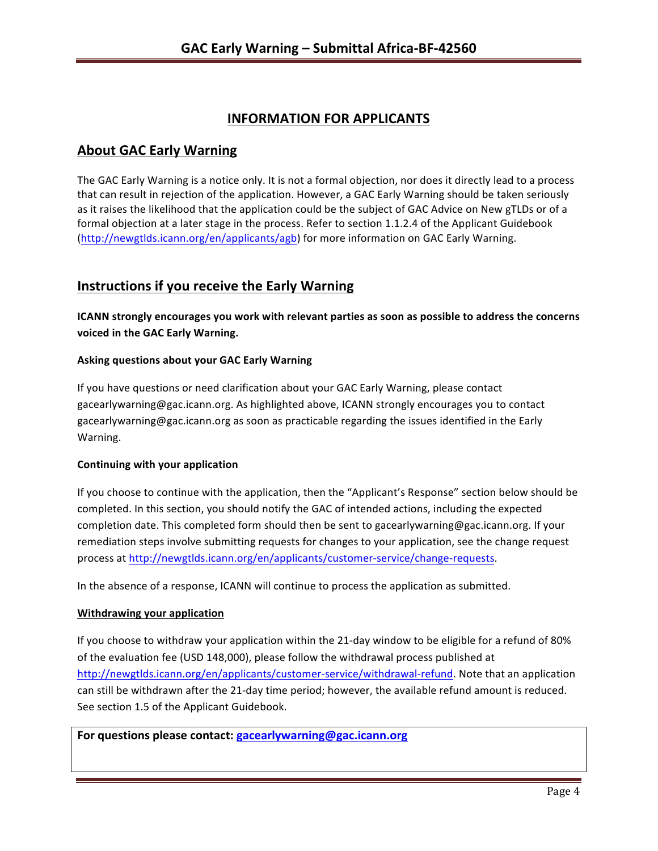# **INFORMATION FOR APPLICANTS**

# **About GAC Early Warning**

The GAC Early Warning is a notice only. It is not a formal objection, nor does it directly lead to a process that can result in rejection of the application. However, a GAC Early Warning should be taken seriously as it raises the likelihood that the application could be the subject of GAC Advice on New gTLDs or of a formal objection at a later stage in the process. Refer to section 1.1.2.4 of the Applicant Guidebook (http://newgtlds.icann.org/en/applicants/agb) for more information on GAC Early Warning.

# **Instructions if you receive the Early Warning**

**ICANN** strongly encourages you work with relevant parties as soon as possible to address the concerns **voiced in the GAC Early Warning.** 

### **Asking questions about your GAC Early Warning**

If you have questions or need clarification about your GAC Early Warning, please contact gacearlywarning@gac.icann.org. As highlighted above, ICANN strongly encourages you to contact gacearlywarning@gac.icann.org as soon as practicable regarding the issues identified in the Early Warning. 

### **Continuing with your application**

If you choose to continue with the application, then the "Applicant's Response" section below should be completed. In this section, you should notify the GAC of intended actions, including the expected completion date. This completed form should then be sent to gacearlywarning@gac.icann.org. If your remediation steps involve submitting requests for changes to your application, see the change request process at http://newgtlds.icann.org/en/applicants/customer-service/change-requests.

In the absence of a response, ICANN will continue to process the application as submitted.

### **Withdrawing your application**

If you choose to withdraw your application within the 21-day window to be eligible for a refund of 80% of the evaluation fee (USD 148,000), please follow the withdrawal process published at http://newgtlds.icann.org/en/applicants/customer-service/withdrawal-refund. Note that an application can still be withdrawn after the 21-day time period; however, the available refund amount is reduced. See section 1.5 of the Applicant Guidebook.

For questions please contact: gacearlywarning@gac.icann.org